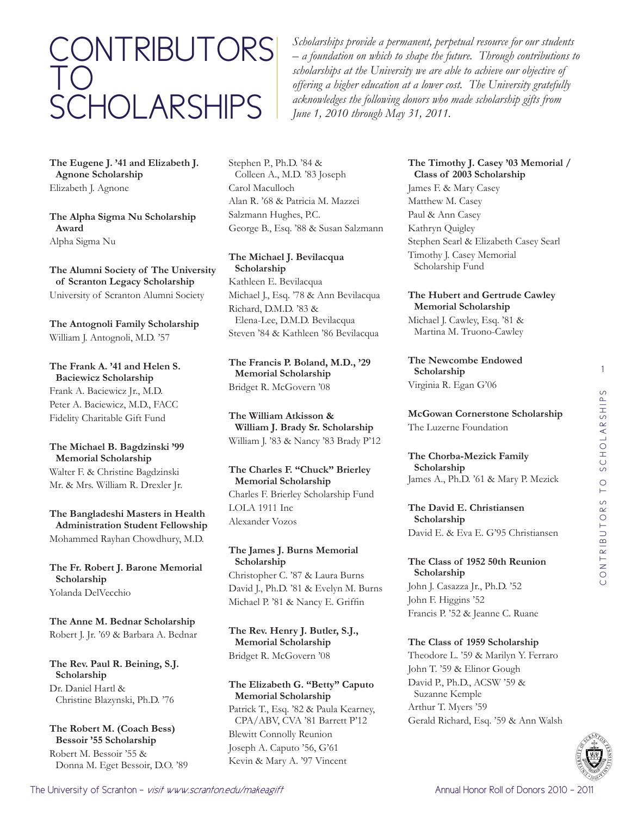# CONTRIBUTORS TO SCHOLARSHIPS

*Scholarships provide a permanent, perpetual resource for our students – a foundation on which to shape the future. Through contributions to scholarships at the University we are able to achieve our objective of offering a higher education at a lower cost. The University gratefully acknowledges the following donors who made scholarship gifts from June 1, 2010 through May 31, 2011.*

**The Eugene J. '41 and Elizabeth J. Agnone Scholarship** Elizabeth J. Agnone

**The Alpha Sigma Nu Scholarship Award** Alpha Sigma Nu

**The Alumni Society of The University of Scranton Legacy Scholarship** University of Scranton Alumni Society

**The Antognoli Family Scholarship** William J. Antognoli, M.D. '57

**The Frank A. '41 and Helen S. Baciewicz Scholarship** Frank A. Baciewicz Jr., M.D. Peter A. Baciewicz, M.D., FACC Fidelity Charitable Gift Fund

#### **The Michael B. Bagdzinski '99 Memorial Scholarship**

Walter F. & Christine Bagdzinski Mr. & Mrs. William R. Drexler Jr.

**The Bangladeshi Masters in Health Administration Student Fellowship** Mohammed Rayhan Chowdhury, M.D.

**The Fr. Robert J. Barone Memorial Scholarship** Yolanda DelVecchio

**The Anne M. Bednar Scholarship** Robert J. Jr. '69 & Barbara A. Bednar

**The Rev. Paul R. Beining, S.J. Scholarship** Dr. Daniel Hartl & Christine Blazynski, Ph.D. '76

**The Robert M. (Coach Bess) Bessoir '55 Scholarship** Robert M. Bessoir '55 & Donna M. Eget Bessoir, D.O. '89 Stephen P., Ph.D. '84 & Colleen A., M.D. '83 Joseph Carol Maculloch Alan R. '68 & Patricia M. Mazzei Salzmann Hughes, P.C. George B., Esq. '88 & Susan Salzmann

**The Michael J. Bevilacqua Scholarship** Kathleen E. Bevilacqua Michael J., Esq. '78 & Ann Bevilacqua Richard, D.M.D. '83 & Elena-Lee, D.M.D. Bevilacqua Steven '84 & Kathleen '86 Bevilacqua

**The Francis P. Boland, M.D., '29 Memorial Scholarship** Bridget R. McGovern '08

**The William Atkisson & William J. Brady Sr. Scholarship** William J. '83 & Nancy '83 Brady P'12

**The Charles F. "Chuck" Brierley Memorial Scholarship** Charles F. Brierley Scholarship Fund LOLA 1911 Inc Alexander Vozos

**The James J. Burns Memorial Scholarship** Christopher C. '87 & Laura Burns David J., Ph.D. '81 & Evelyn M. Burns Michael P. '81 & Nancy E. Griffin

**The Rev. Henry J. Butler, S.J., Memorial Scholarship** Bridget R. McGovern '08

#### **The Elizabeth G. "Betty" Caputo Memorial Scholarship** Patrick T., Esq. '82 & Paula Kearney,

CPA/ABV, CVA '81 Barrett P'12 Blewitt Connolly Reunion Joseph A. Caputo '56, G'61 Kevin & Mary A. '97 Vincent

# **The Timothy J. Casey '03 Memorial / Class of 2003 Scholarship**

James F. & Mary Casey Matthew M. Casey Paul & Ann Casey Kathryn Quigley Stephen Searl & Elizabeth Casey Searl Timothy J. Casey Memorial Scholarship Fund

# **The Hubert and Gertrude Cawley Memorial Scholarship**

Michael J. Cawley, Esq. '81 & Martina M. Truono-Cawley

**The Newcombe Endowed Scholarship** Virginia R. Egan G'06

**McGowan Cornerstone Scholarship** The Luzerne Foundation

**The Chorba-Mezick Family Scholarship** James A., Ph.D. '61 & Mary P. Mezick

**The David E. Christiansen Scholarship** David E. & Eva E. G'95 Christiansen

**The Class of 1952 50th Reunion Scholarship** John J. Casazza Jr., Ph.D. '52 John F. Higgins '52 Francis P. '52 & Jeanne C. Ruane

## **The Class of 1959 Scholarship**

Theodore L. '59 & Marilyn Y. Ferraro John T. '59 & Elinor Gough David P., Ph.D., ACSW '59 & Suzanne Kemple Arthur T. Myers '59 Gerald Richard, Esq. '59 & Ann Walsh

The University of Scranton - *visit www.scranton.edu/makeagift* Annual Honor Roll of Donors 2010 - 2011 - 2011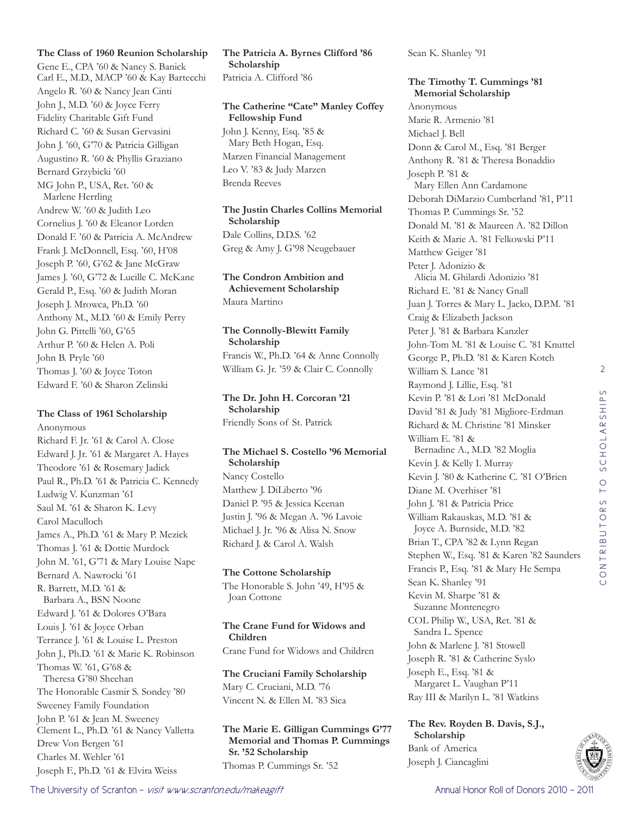#### **The Class of 1960 Reunion Scholarship**

Gene E., CPA '60 & Nancy S. Banick Carl E., M.D., MACP '60 & Kay Bartecchi Angelo R. '60 & Nancy Jean Cinti John J., M.D. '60 & Joyce Ferry Fidelity Charitable Gift Fund Richard C. '60 & Susan Gervasini John J. '60, G'70 & Patricia Gilligan Augustino R. '60 & Phyllis Graziano Bernard Grzybicki '60 MG John P., USA, Ret. '60 & Marlene Herrling Andrew W. '60 & Judith Leo Cornelius J. '60 & Eleanor Lorden Donald F. '60 & Patricia A. McAndrew Frank J. McDonnell, Esq. '60, H'08 Joseph P. '60, G'62 & Jane McGraw James J. '60, G'72 & Lucille C. McKane Gerald P., Esq. '60 & Judith Moran Joseph J. Mrowca, Ph.D. '60 Anthony M., M.D. '60 & Emily Perry John G. Pittelli '60, G'65 Arthur P. '60 & Helen A. Poli John B. Pryle '60 Thomas J. '60 & Joyce Toton Edward F. '60 & Sharon Zelinski

## **The Class of 1961 Scholarship**

Anonymous Richard F. Jr. '61 & Carol A. Close Edward J. Jr. '61 & Margaret A. Hayes Theodore '61 & Rosemary Jadick Paul R., Ph.D. '61 & Patricia C. Kennedy Ludwig V. Kunzman '61 Saul M. '61 & Sharon K. Levy Carol Maculloch James A., Ph.D. '61 & Mary P. Mezick Thomas J. '61 & Dottie Murdock John M. '61, G'71 & Mary Louise Nape Bernard A. Nawrocki '61 R. Barrett, M.D. '61 & Barbara A., BSN Noone Edward J. '61 & Dolores O'Bara Louis J. '61 & Joyce Orban Terrance J. '61 & Louise L. Preston John J., Ph.D. '61 & Marie K. Robinson Thomas W. '61, G'68 & Theresa G'80 Sheehan The Honorable Casmir S. Sondey '80 Sweeney Family Foundation John P. '61 & Jean M. Sweeney Clement L., Ph.D. '61 & Nancy Valletta Drew Von Bergen '61 Charles M. Wehler '61 Joseph F., Ph.D. '61 & Elvira Weiss

**The Patricia A. Byrnes Clifford '86 Scholarship** Patricia A. Clifford '86

# **The Catherine "Cate" Manley Coffey Fellowship Fund**

John J. Kenny, Esq. '85 & Mary Beth Hogan, Esq. Marzen Financial Management Leo V. '83 & Judy Marzen Brenda Reeves

**The Justin Charles Collins Memorial Scholarship** Dale Collins, D.D.S. '62 Greg & Amy J. G'98 Neugebauer

#### **The Condron Ambition and Achievement Scholarship** Maura Martino

**The Connolly-Blewitt Family Scholarship** Francis W., Ph.D. '64 & Anne Connolly William G. Jr. '59 & Clair C. Connolly

**The Dr. John H. Corcoran '21 Scholarship** Friendly Sons of St. Patrick

#### **The Michael S. Costello '96 Memorial Scholarship** Nancy Costello Matthew J. DiLiberto '96 Daniel P. '95 & Jessica Keenan

Justin J. '96 & Megan A. '96 Lavoie Michael J. Jr. '96 & Alisa N. Snow Richard J. & Carol A. Walsh

# **The Cottone Scholarship**

The Honorable S. John '49, H'95 & Joan Cottone

#### **The Crane Fund for Widows and Children** Crane Fund for Widows and Children

**The Cruciani Family Scholarship** Mary C. Cruciani, M.D. '76 Vincent N. & Ellen M. '83 Sica

#### **The Marie E. Gilligan Cummings G'77 Memorial and Thomas P. Cummings Sr. '52 Scholarship** Thomas P. Cummings Sr. '52

Sean K. Shanley '91

#### **The Timothy T. Cummings '81 Memorial Scholarship**

Anonymous Marie R. Armenio '81 Michael J. Bell Donn & Carol M., Esq. '81 Berger Anthony R. '81 & Theresa Bonaddio Joseph P. '81 & Mary Ellen Ann Cardamone Deborah DiMarzio Cumberland '81, P'11 Thomas P. Cummings Sr. '52 Donald M. '81 & Maureen A. '82 Dillon Keith & Marie A. '81 Felkowski P'11 Matthew Geiger '81 Peter J. Adonizio & Alicia M. Ghilardi Adonizio '81 Richard E. '81 & Nancy Gnall Juan J. Torres & Mary L. Jacko, D.P.M. '81 Craig & Elizabeth Jackson Peter J. '81 & Barbara Kanzler John-Tom M. '81 & Louise C. '81 Knuttel George P., Ph.D. '81 & Karen Kotch William S. Lance '81 Raymond J. Lillie, Esq. '81 Kevin P. '81 & Lori '81 McDonald David '81 & Judy '81 Migliore-Erdman Richard & M. Christine '81 Minsker William E. '81 & Bernadine A., M.D. '82 Moglia Kevin J. & Kelly I. Murray Kevin J. '80 & Katherine C. '81 O'Brien Diane M. Overhiser '81 John J. '81 & Patricia Price William Rakauskas, M.D. '81 & Joyce A. Burnside, M.D. '82 Brian T., CPA '82 & Lynn Regan Stephen W., Esq. '81 & Karen '82 Saunders Francis P., Esq. '81 & Mary He Sempa Sean K. Shanley '91 Kevin M. Sharpe '81 & Suzanne Montenegro COL Philip W., USA, Ret. '81 & Sandra L. Spence John & Marlene J. '81 Stowell Joseph R. '81 & Catherine Syslo Joseph E., Esq. '81 & Margaret L. Vaughan P'11 Ray III & Marilyn L. '81 Watkins

# **The Rev. Royden B. Davis, S.J., Scholarship**

Bank of America Joseph J. Ciancaglini

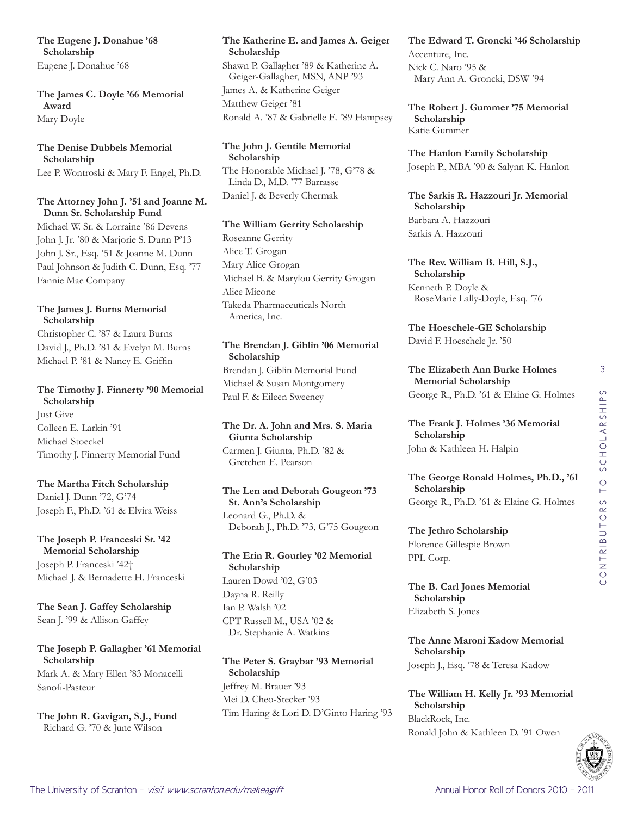**The Eugene J. Donahue '68 Scholarship** Eugene J. Donahue '68

**The James C. Doyle '66 Memorial Award** Mary Doyle

#### **The Denise Dubbels Memorial Scholarship**

Lee P. Wontroski & Mary F. Engel, Ph.D.

## **The Attorney John J. '51 and Joanne M. Dunn Sr. Scholarship Fund**

Michael W. Sr. & Lorraine '86 Devens John J. Jr. '80 & Marjorie S. Dunn P'13 John J. Sr., Esq. '51 & Joanne M. Dunn Paul Johnson & Judith C. Dunn, Esq. '77 Fannie Mae Company

## **The James J. Burns Memorial Scholarship**

Christopher C. '87 & Laura Burns David J., Ph.D. '81 & Evelyn M. Burns Michael P. '81 & Nancy E. Griffin

# **The Timothy J. Finnerty '90 Memorial Scholarship**

Just Give Colleen E. Larkin '91 Michael Stoeckel Timothy J. Finnerty Memorial Fund

## **The Martha Fitch Scholarship**

Daniel J. Dunn '72, G'74 Joseph F., Ph.D. '61 & Elvira Weiss

# **The Joseph P. Franceski Sr. '42 Memorial Scholarship** Joseph P. Franceski '42†

Michael J. & Bernadette H. Franceski

**The Sean J. Gaffey Scholarship** Sean J. '99 & Allison Gaffey

## **The Joseph P. Gallagher '61 Memorial Scholarship** Mark A. & Mary Ellen '83 Monacelli Sanofi-Pasteur

**The John R. Gavigan, S.J., Fund** Richard G. '70 & June Wilson

#### **The Katherine E. and James A. Geiger Scholarship**

Shawn P. Gallagher '89 & Katherine A. Geiger-Gallagher, MSN, ANP '93 James A. & Katherine Geiger Matthew Geiger '81 Ronald A. '87 & Gabrielle E. '89 Hampsey

# **The John J. Gentile Memorial Scholarship**

The Honorable Michael J. '78, G'78 & Linda D., M.D. '77 Barrasse Daniel J. & Beverly Chermak

#### **The William Gerrity Scholarship**

Roseanne Gerrity Alice T. Grogan Mary Alice Grogan Michael B. & Marylou Gerrity Grogan Alice Micone Takeda Pharmaceuticals North America, Inc.

# **The Brendan J. Giblin '06 Memorial Scholarship**

Brendan J. Giblin Memorial Fund Michael & Susan Montgomery Paul F. & Eileen Sweeney

#### **The Dr. A. John and Mrs. S. Maria Giunta Scholarship** Carmen J. Giunta, Ph.D. '82 & Gretchen E. Pearson

#### **The Len and Deborah Gougeon '73 St. Ann's Scholarship** Leonard G., Ph.D. & Deborah J., Ph.D. '73, G'75 Gougeon

# **The Erin R. Gourley '02 Memorial Scholarship** Lauren Dowd '02, G'03 Dayna R. Reilly

Ian P. Walsh '02 CPT Russell M., USA '02 & Dr. Stephanie A. Watkins

## **The Peter S. Graybar '93 Memorial Scholarship** Jeffrey M. Brauer '93 Mei D. Cheo-Stecker '93 Tim Haring & Lori D. D'Ginto Haring '93

**The Edward T. Groncki '46 Scholarship** Accenture, Inc. Nick C. Naro '95 & Mary Ann A. Groncki, DSW '94

**The Robert J. Gummer '75 Memorial Scholarship** Katie Gummer

**The Hanlon Family Scholarship** Joseph P., MBA '90 & Salynn K. Hanlon

**The Sarkis R. Hazzouri Jr. Memorial Scholarship** Barbara A. Hazzouri Sarkis A. Hazzouri

**The Rev. William B. Hill, S.J., Scholarship** Kenneth P. Doyle & RoseMarie Lally-Doyle, Esq. '76

**The Hoeschele-GE Scholarship** David F. Hoeschele Jr. '50

**The Elizabeth Ann Burke Holmes Memorial Scholarship** George R., Ph.D. '61 & Elaine G. Holmes

**The Frank J. Holmes '36 Memorial Scholarship** John & Kathleen H. Halpin

**The George Ronald Holmes, Ph.D., '61 Scholarship** George R., Ph.D. '61 & Elaine G. Holmes

**The Jethro Scholarship** Florence Gillespie Brown PPL Corp.

**The B. Carl Jones Memorial Scholarship** Elizabeth S. Jones

**The Anne Maroni Kadow Memorial Scholarship** Joseph J., Esq. '78 & Teresa Kadow

**The William H. Kelly Jr. '93 Memorial Scholarship** BlackRock, Inc. Ronald John & Kathleen D. '91 Owen

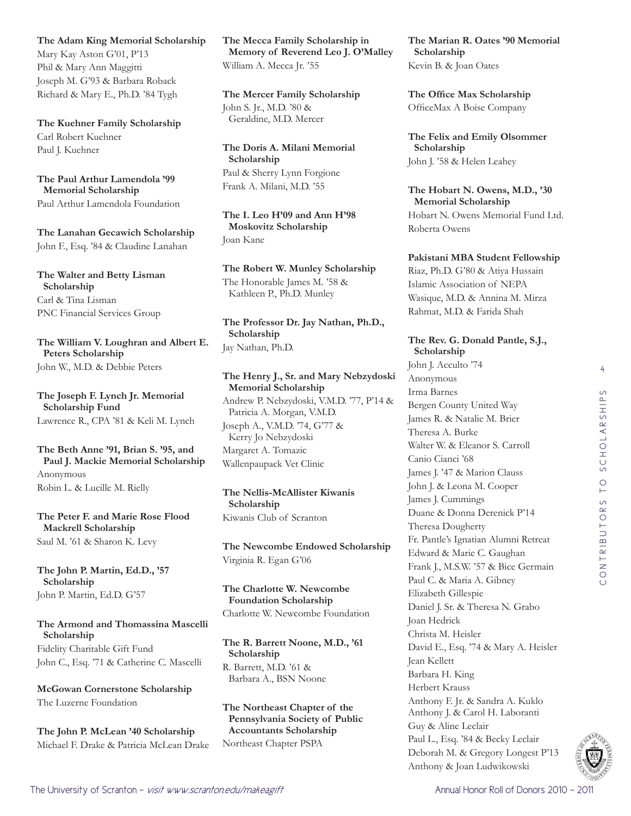4CONTRIBUTORS TO SCHOLARSHIPS CONTRIBUTORS TO SCHOLARSHIP



The University of Scranton - *visit www.scranton.edu/makeagift* Annual Honor Roll of Donors 2010 - 2011 - 2011

**The Adam King Memorial Scholarship**

Mary Kay Aston G'01, P'13 Phil & Mary Ann Maggitti Joseph M. G'93 & Barbara Roback Richard & Mary E., Ph.D. '84 Tygh

**The Kuehner Family Scholarship** Carl Robert Kuehner Paul J. Kuehner

#### **The Paul Arthur Lamendola '99 Memorial Scholarship** Paul Arthur Lamendola Foundation

**The Lanahan Gecawich Scholarship** John F., Esq. '84 & Claudine Lanahan

**The Walter and Betty Lisman Scholarship** Carl & Tina Lisman PNC Financial Services Group

**The William V. Loughran and Albert E. Peters Scholarship** John W., M.D. & Debbie Peters

**The Joseph F. Lynch Jr. Memorial Scholarship Fund** Lawrence R., CPA '81 & Keli M. Lynch

**The Beth Anne '91, Brian S. '95, and Paul J. Mackie Memorial Scholarship** Anonymous Robin L. & Lucille M. Rielly

**The Peter F. and Marie Rose Flood Mackrell Scholarship** Saul M. '61 & Sharon K. Levy

**The John P. Martin, Ed.D., '57 Scholarship** John P. Martin, Ed.D. G'57

# **The Armond and Thomassina Mascelli Scholarship**

Fidelity Charitable Gift Fund John C., Esq. '71 & Catherine C. Mascelli

**McGowan Cornerstone Scholarship** The Luzerne Foundation

**The John P. McLean '40 Scholarship** Michael F. Drake & Patricia McLean Drake **The Mecca Family Scholarship in Memory of Reverend Leo J. O'Malley** William A. Mecca Jr. '55

**The Mercer Family Scholarship** John S. Jr., M.D. '80 & Geraldine, M.D. Mercer

**The Doris A. Milani Memorial Scholarship** Paul & Sherry Lynn Forgione Frank A. Milani, M.D. '55

**The I. Leo H'09 and Ann H'98 Moskovitz Scholarship** Joan Kane

**The Robert W. Munley Scholarship** The Honorable James M. '58 &

Kathleen P., Ph.D. Munley

**The Professor Dr. Jay Nathan, Ph.D., Scholarship** Jay Nathan, Ph.D.

#### **The Henry J., Sr. and Mary Nebzydoski Memorial Scholarship** Andrew P. Nebzydoski, V.M.D. '77, P'14 & Patricia A. Morgan, V.M.D. Joseph A., V.M.D. '74, G'77 & Kerry Jo Nebzydoski Margaret A. Tomazic Wallenpaupack Vet Clinic

**The Nellis-McAllister Kiwanis Scholarship** Kiwanis Club of Scranton

**The Newcombe Endowed Scholarship** Virginia R. Egan G'06

**The Charlotte W. Newcombe Foundation Scholarship** Charlotte W. Newcombe Foundation

# **The R. Barrett Noone, M.D., '61 Scholarship**

R. Barrett, M.D. '61 & Barbara A., BSN Noone

#### **The Northeast Chapter of the Pennsylvania Society of Public Accountants Scholarship** Northeast Chapter PSPA

**The Marian R. Oates '90 Memorial Scholarship** Kevin B. & Joan Oates

**The Office Max Scholarship** OfficeMax A Boise Company

**The Felix and Emily Olsommer Scholarship** John J. '58 & Helen Leahey

**The Hobart N. Owens, M.D., '30 Memorial Scholarship** Hobart N. Owens Memorial Fund Ltd. Roberta Owens

**Pakistani MBA Student Fellowship**

Riaz, Ph.D. G'80 & Atiya Hussain Islamic Association of NEPA Wasique, M.D. & Annina M. Mirza Rahmat, M.D. & Farida Shah

#### **The Rev. G. Donald Pantle, S.J., Scholarship**

John J. Acculto '74 Anonymous Irma Barnes Bergen County United Way James R. & Natalie M. Brier Theresa A. Burke Walter W. & Eleanor S. Carroll Canio Cianci '68 James J. '47 & Marion Clauss John J. & Leona M. Cooper James J. Cummings Duane & Donna Derenick P'14 Theresa Dougherty Fr. Pantle's Ignatian Alumni Retreat Edward & Marie C. Gaughan Frank J., M.S.W. '57 & Bice Germain Paul C. & Maria A. Gibney Elizabeth Gillespie Daniel J. Sr. & Theresa N. Grabo Joan Hedrick Christa M. Heisler David E., Esq. '74 & Mary A. Heisler Jean Kellett Barbara H. King Herbert Krauss Anthony F. Jr. & Sandra A. Kuklo Anthony J. & Carol H. Laboranti Guy & Aline Leclair Paul L., Esq. '84 & Becky Leclair Deborah M. & Gregory Longest P'13 Anthony & Joan Ludwikowski

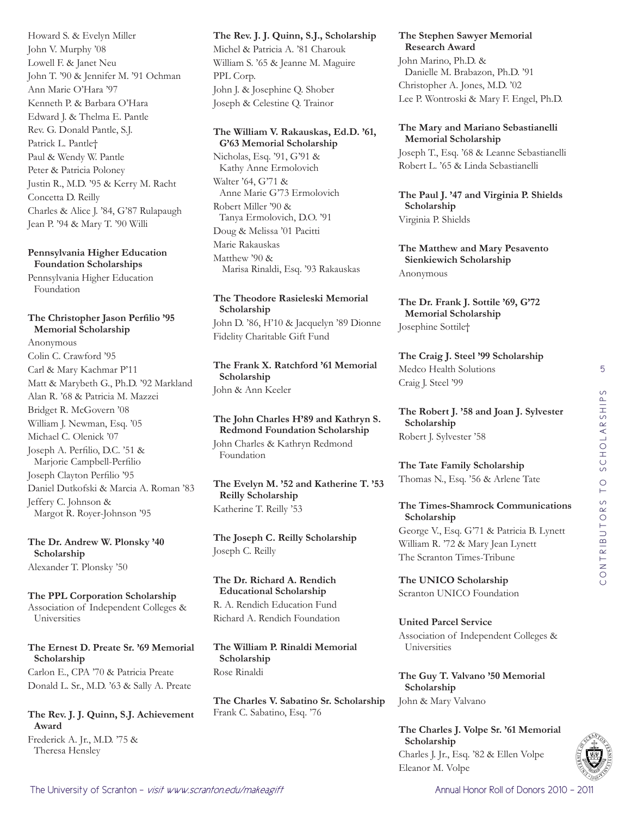Howard S. & Evelyn Miller John V. Murphy '08 Lowell F. & Janet Neu John T. '90 & Jennifer M. '91 Ochman Ann Marie O'Hara '97 Kenneth P. & Barbara O'Hara Edward J. & Thelma E. Pantle Rev. G. Donald Pantle, S.J. Patrick L. Pantle† Paul & Wendy W. Pantle Peter & Patricia Poloney Justin R., M.D. '95 & Kerry M. Racht Concetta D. Reilly Charles & Alice J. '84, G'87 Rulapaugh Jean P. '94 & Mary T. '90 Willi

#### **Pennsylvania Higher Education Foundation Scholarships**

Pennsylvania Higher Education Foundation

#### **The Christopher Jason Perfilio '95 Memorial Scholarship**

Anonymous Colin C. Crawford '95 Carl & Mary Kachmar P'11 Matt & Marybeth G., Ph.D. '92 Markland Alan R. '68 & Patricia M. Mazzei Bridget R. McGovern '08 William J. Newman, Esq. '05 Michael C. Olenick '07 Joseph A. Perfilio, D.C. '51 & Marjorie Campbell-Perfilio Joseph Clayton Perfilio '95 Daniel Dutkofski & Marcia A. Roman '83 Jeffery C. Johnson & Margot R. Royer-Johnson '95

**The Dr. Andrew W. Plonsky '40 Scholarship** Alexander T. Plonsky '50

**The PPL Corporation Scholarship** Association of Independent Colleges & Universities

**The Ernest D. Preate Sr. '69 Memorial Scholarship** Carlon E., CPA '70 & Patricia Preate Donald L. Sr., M.D. '63 & Sally A. Preate

**The Rev. J. J. Quinn, S.J. Achievement Award** Frederick A. Jr., M.D. '75 & Theresa Hensley

**The Rev. J. J. Quinn, S.J., Scholarship** Michel & Patricia A. '81 Charouk William S. '65 & Jeanne M. Maguire PPL Corp. John J. & Josephine Q. Shober Joseph & Celestine Q. Trainor

#### **The William V. Rakauskas, Ed.D. '61, G'63 Memorial Scholarship**

Nicholas, Esq. '91, G'91 & Kathy Anne Ermolovich Walter '64, G'71 & Anne Marie G'73 Ermolovich Robert Miller '90 & Tanya Ermolovich, D.O. '91 Doug & Melissa '01 Pacitti Marie Rakauskas Matthew '90 & Marisa Rinaldi, Esq. '93 Rakauskas

## **The Theodore Rasieleski Memorial Scholarship** John D. '86, H'10 & Jacquelyn '89 Dionne

Fidelity Charitable Gift Fund

**The Frank X. Ratchford '61 Memorial Scholarship** John & Ann Keeler

**The John Charles H'89 and Kathryn S. Redmond Foundation Scholarship** John Charles & Kathryn Redmond Foundation

**The Evelyn M. '52 and Katherine T. '53 Reilly Scholarship** Katherine T. Reilly '53

**The Joseph C. Reilly Scholarship** Joseph C. Reilly

**The Dr. Richard A. Rendich Educational Scholarship** R. A. Rendich Education Fund Richard A. Rendich Foundation

**The William P. Rinaldi Memorial Scholarship** Rose Rinaldi

**The Charles V. Sabatino Sr. Scholarship** Frank C. Sabatino, Esq. '76

#### **The Stephen Sawyer Memorial Research Award**

John Marino, Ph.D. & Danielle M. Brabazon, Ph.D. '91 Christopher A. Jones, M.D. '02 Lee P. Wontroski & Mary F. Engel, Ph.D.

**The Mary and Mariano Sebastianelli Memorial Scholarship**

Joseph T., Esq. '68 & Leanne Sebastianelli Robert L. '65 & Linda Sebastianelli

**The Paul J. '47 and Virginia P. Shields Scholarship** Virginia P. Shields

**The Matthew and Mary Pesavento Sienkiewich Scholarship** Anonymous

**The Dr. Frank J. Sottile '69, G'72 Memorial Scholarship** Josephine Sottile†

**The Craig J. Steel '99 Scholarship** Medco Health Solutions Craig J. Steel '99

**The Robert J. '58 and Joan J. Sylvester Scholarship** Robert J. Sylvester '58

**The Tate Family Scholarship** Thomas N., Esq. '56 & Arlene Tate

#### **The Times-Shamrock Communications Scholarship**

George V., Esq. G'71 & Patricia B. Lynett William R. '72 & Mary Jean Lynett The Scranton Times-Tribune

**The UNICO Scholarship** Scranton UNICO Foundation

**United Parcel Service** Association of Independent Colleges & Universities

**The Guy T. Valvano '50 Memorial Scholarship** John & Mary Valvano

**The Charles J. Volpe Sr. '61 Memorial Scholarship** Charles J. Jr., Esq. '82 & Ellen Volpe Eleanor M. Volpe